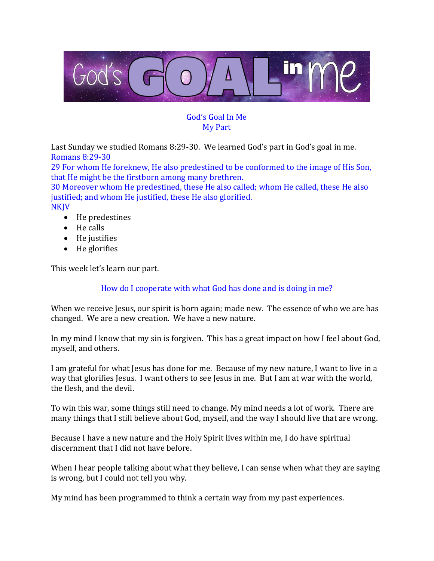

### God's Goal In Me My Part

Last Sunday we studied Romans 8:29-30. We learned God's part in God's goal in me. Romans 8:29-30

29 For whom He foreknew, He also predestined to be conformed to the image of His Son, that He might be the firstborn among many brethren.

30 Moreover whom He predestined, these He also called; whom He called, these He also justified; and whom He justified, these He also glorified.

NKJV

- He predestines
- He calls
- He justifies
- He glorifies

This week let's learn our part.

### How do I cooperate with what God has done and is doing in me?

When we receive Jesus, our spirit is born again; made new. The essence of who we are has changed. We are a new creation. We have a new nature.

In my mind I know that my sin is forgiven. This has a great impact on how I feel about God, myself, and others.

I am grateful for what Jesus has done for me. Because of my new nature, I want to live in a way that glorifies Jesus. I want others to see Jesus in me. But I am at war with the world, the flesh, and the devil.

To win this war, some things still need to change. My mind needs a lot of work. There are many things that I still believe about God, myself, and the way I should live that are wrong.

Because I have a new nature and the Holy Spirit lives within me, I do have spiritual discernment that I did not have before.

When I hear people talking about what they believe, I can sense when what they are saying is wrong, but I could not tell you why.

My mind has been programmed to think a certain way from my past experiences.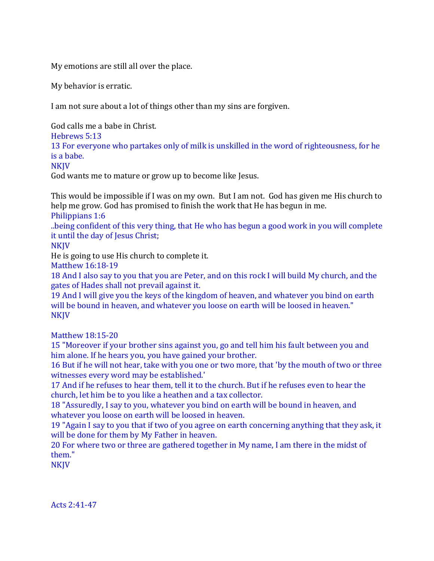My emotions are still all over the place.

My behavior is erratic.

I am not sure about a lot of things other than my sins are forgiven.

God calls me a babe in Christ.

Hebrews 5:13

13 For everyone who partakes only of milk is unskilled in the word of righteousness, for he is a babe.

NKJV

God wants me to mature or grow up to become like Jesus.

This would be impossible if I was on my own. But I am not. God has given me His church to help me grow. God has promised to finish the work that He has begun in me.

Philippians 1:6

..being confident of this very thing, that He who has begun a good work in you will complete it until the day of Jesus Christ;

NKJV

He is going to use His church to complete it.

Matthew 16:18-19

18 And I also say to you that you are Peter, and on this rock I will build My church, and the gates of Hades shall not prevail against it.

19 And I will give you the keys of the kingdom of heaven, and whatever you bind on earth will be bound in heaven, and whatever you loose on earth will be loosed in heaven." **NKJV** 

Matthew 18:15-20

15 "Moreover if your brother sins against you, go and tell him his fault between you and him alone. If he hears you, you have gained your brother.

16 But if he will not hear, take with you one or two more, that 'by the mouth of two or three witnesses every word may be established.'

17 And if he refuses to hear them, tell it to the church. But if he refuses even to hear the church, let him be to you like a heathen and a tax collector.

18 "Assuredly, I say to you, whatever you bind on earth will be bound in heaven, and whatever you loose on earth will be loosed in heaven.

19 "Again I say to you that if two of you agree on earth concerning anything that they ask, it will be done for them by My Father in heaven.

20 For where two or three are gathered together in My name, I am there in the midst of them."

**NKJV** 

Acts 2:41-47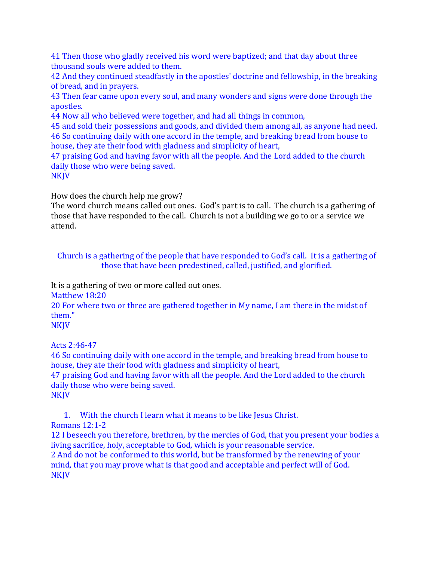41 Then those who gladly received his word were baptized; and that day about three thousand souls were added to them.

42 And they continued steadfastly in the apostles' doctrine and fellowship, in the breaking of bread, and in prayers.

43 Then fear came upon every soul, and many wonders and signs were done through the apostles.

44 Now all who believed were together, and had all things in common,

45 and sold their possessions and goods, and divided them among all, as anyone had need. 46 So continuing daily with one accord in the temple, and breaking bread from house to house, they ate their food with gladness and simplicity of heart,

47 praising God and having favor with all the people. And the Lord added to the church daily those who were being saved. **NKJV** 

How does the church help me grow?

The word church means called out ones. God's part is to call. The church is a gathering of those that have responded to the call. Church is not a building we go to or a service we attend.

Church is a gathering of the people that have responded to God's call. It is a gathering of those that have been predestined, called, justified, and glorified.

It is a gathering of two or more called out ones.

Matthew 18:20

20 For where two or three are gathered together in My name, I am there in the midst of them."

NKJV

Acts 2:46-47

46 So continuing daily with one accord in the temple, and breaking bread from house to house, they ate their food with gladness and simplicity of heart,

47 praising God and having favor with all the people. And the Lord added to the church daily those who were being saved.

**NKJV** 

1. With the church I learn what it means to be like Jesus Christ.

Romans 12:1-2

12 I beseech you therefore, brethren, by the mercies of God, that you present your bodies a living sacrifice, holy, acceptable to God, which is your reasonable service.

2 And do not be conformed to this world, but be transformed by the renewing of your mind, that you may prove what is that good and acceptable and perfect will of God. NKJV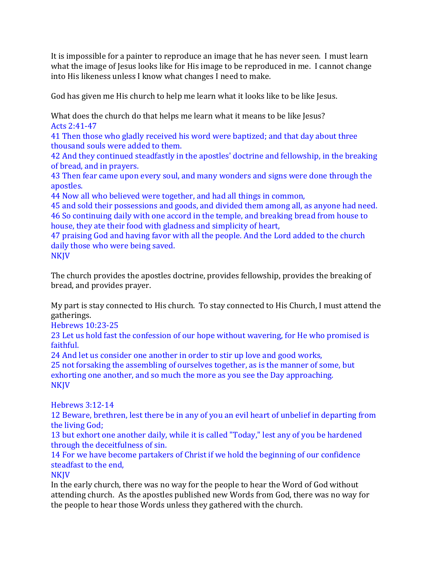It is impossible for a painter to reproduce an image that he has never seen. I must learn what the image of Jesus looks like for His image to be reproduced in me. I cannot change into His likeness unless I know what changes I need to make.

God has given me His church to help me learn what it looks like to be like Jesus.

What does the church do that helps me learn what it means to be like Jesus? Acts 2:41-47

41 Then those who gladly received his word were baptized; and that day about three thousand souls were added to them.

42 And they continued steadfastly in the apostles' doctrine and fellowship, in the breaking of bread, and in prayers.

43 Then fear came upon every soul, and many wonders and signs were done through the apostles.

44 Now all who believed were together, and had all things in common,

45 and sold their possessions and goods, and divided them among all, as anyone had need. 46 So continuing daily with one accord in the temple, and breaking bread from house to house, they ate their food with gladness and simplicity of heart,

47 praising God and having favor with all the people. And the Lord added to the church daily those who were being saved. **NKJV** 

The church provides the apostles doctrine, provides fellowship, provides the breaking of bread, and provides prayer.

My part is stay connected to His church. To stay connected to His Church, I must attend the gatherings.

Hebrews 10:23-25

23 Let us hold fast the confession of our hope without wavering, for He who promised is faithful.

24 And let us consider one another in order to stir up love and good works,

25 not forsaking the assembling of ourselves together, as is the manner of some, but exhorting one another, and so much the more as you see the Day approaching. NKJV

Hebrews 3:12-14

12 Beware, brethren, lest there be in any of you an evil heart of unbelief in departing from the living God;

13 but exhort one another daily, while it is called "Today," lest any of you be hardened through the deceitfulness of sin.

14 For we have become partakers of Christ if we hold the beginning of our confidence steadfast to the end,

**NKIV** 

In the early church, there was no way for the people to hear the Word of God without attending church. As the apostles published new Words from God, there was no way for the people to hear those Words unless they gathered with the church.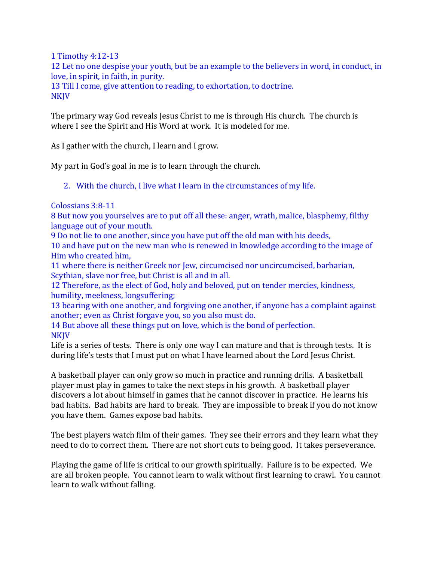1 Timothy 4:12-13

12 Let no one despise your youth, but be an example to the believers in word, in conduct, in love, in spirit, in faith, in purity.

13 Till I come, give attention to reading, to exhortation, to doctrine. NKJV

The primary way God reveals Jesus Christ to me is through His church. The church is where I see the Spirit and His Word at work. It is modeled for me.

As I gather with the church, I learn and I grow.

My part in God's goal in me is to learn through the church.

2. With the church, I live what I learn in the circumstances of my life.

Colossians 3:8-11

8 But now you yourselves are to put off all these: anger, wrath, malice, blasphemy, filthy language out of your mouth.

9 Do not lie to one another, since you have put off the old man with his deeds,

10 and have put on the new man who is renewed in knowledge according to the image of Him who created him,

11 where there is neither Greek nor Jew, circumcised nor uncircumcised, barbarian, Scythian, slave nor free, but Christ is all and in all.

12 Therefore, as the elect of God, holy and beloved, put on tender mercies, kindness, humility, meekness, longsuffering;

13 bearing with one another, and forgiving one another, if anyone has a complaint against another; even as Christ forgave you, so you also must do.

14 But above all these things put on love, which is the bond of perfection. NKJV

Life is a series of tests. There is only one way I can mature and that is through tests. It is during life's tests that I must put on what I have learned about the Lord Jesus Christ.

A basketball player can only grow so much in practice and running drills. A basketball player must play in games to take the next steps in his growth. A basketball player discovers a lot about himself in games that he cannot discover in practice. He learns his bad habits. Bad habits are hard to break. They are impossible to break if you do not know you have them. Games expose bad habits.

The best players watch film of their games. They see their errors and they learn what they need to do to correct them. There are not short cuts to being good. It takes perseverance.

Playing the game of life is critical to our growth spiritually. Failure is to be expected. We are all broken people. You cannot learn to walk without first learning to crawl. You cannot learn to walk without falling.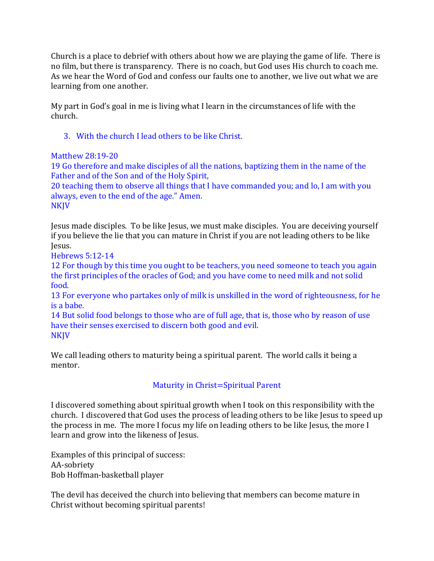Church is a place to debrief with others about how we are playing the game of life. There is no film, but there is transparency. There is no coach, but God uses His church to coach me. As we hear the Word of God and confess our faults one to another, we live out what we are learning from one another.

My part in God's goal in me is living what I learn in the circumstances of life with the church.

3. With the church I lead others to be like Christ.

## Matthew 28:19-20

19 Go therefore and make disciples of all the nations, baptizing them in the name of the Father and of the Son and of the Holy Spirit,

20 teaching them to observe all things that I have commanded you; and lo, I am with you always, even to the end of the age." Amen.

NKJV

Jesus made disciples. To be like Jesus, we must make disciples. You are deceiving yourself if you believe the lie that you can mature in Christ if you are not leading others to be like Jesus.

Hebrews 5:12-14

12 For though by this time you ought to be teachers, you need someone to teach you again the first principles of the oracles of God; and you have come to need milk and not solid food.

13 For everyone who partakes only of milk is unskilled in the word of righteousness, for he is a babe.

14 But solid food belongs to those who are of full age, that is, those who by reason of use have their senses exercised to discern both good and evil. NKJV

We call leading others to maturity being a spiritual parent. The world calls it being a mentor.

# Maturity in Christ=Spiritual Parent

I discovered something about spiritual growth when I took on this responsibility with the church. I discovered that God uses the process of leading others to be like Jesus to speed up the process in me. The more I focus my life on leading others to be like Jesus, the more I learn and grow into the likeness of Jesus.

Examples of this principal of success: AA-sobriety Bob Hoffman-basketball player

The devil has deceived the church into believing that members can become mature in Christ without becoming spiritual parents!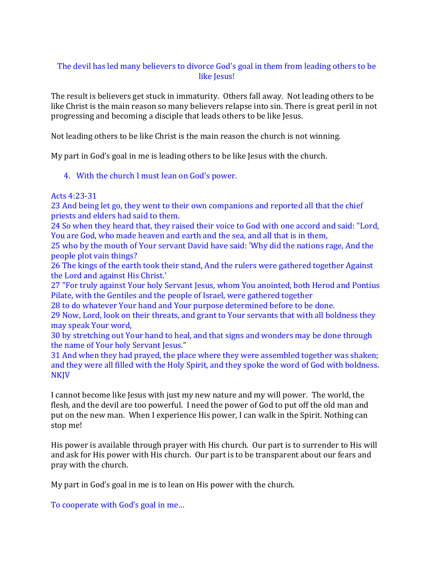### The devil has led many believers to divorce God's goal in them from leading others to be like Jesus!

The result is believers get stuck in immaturity. Others fall away. Not leading others to be like Christ is the main reason so many believers relapse into sin. There is great peril in not progressing and becoming a disciple that leads others to be like Jesus.

Not leading others to be like Christ is the main reason the church is not winning.

My part in God's goal in me is leading others to be like Jesus with the church.

### 4. With the church I must lean on God's power.

#### Acts 4:23-31

23 And being let go, they went to their own companions and reported all that the chief priests and elders had said to them.

24 So when they heard that, they raised their voice to God with one accord and said: "Lord, You are God, who made heaven and earth and the sea, and all that is in them,

25 who by the mouth of Your servant David have said: 'Why did the nations rage, And the people plot vain things?

26 The kings of the earth took their stand, And the rulers were gathered together Against the Lord and against His Christ.'

27 "For truly against Your holy Servant Jesus, whom You anointed, both Herod and Pontius Pilate, with the Gentiles and the people of Israel, were gathered together

28 to do whatever Your hand and Your purpose determined before to be done.

29 Now, Lord, look on their threats, and grant to Your servants that with all boldness they may speak Your word,

30 by stretching out Your hand to heal, and that signs and wonders may be done through the name of Your holy Servant Jesus."

31 And when they had prayed, the place where they were assembled together was shaken; and they were all filled with the Holy Spirit, and they spoke the word of God with boldness. NKJV

I cannot become like Jesus with just my new nature and my will power. The world, the flesh, and the devil are too powerful. I need the power of God to put off the old man and put on the new man. When I experience His power, I can walk in the Spirit. Nothing can stop me!

His power is available through prayer with His church. Our part is to surrender to His will and ask for His power with His church. Our part is to be transparent about our fears and pray with the church.

My part in God's goal in me is to lean on His power with the church.

To cooperate with God's goal in me…